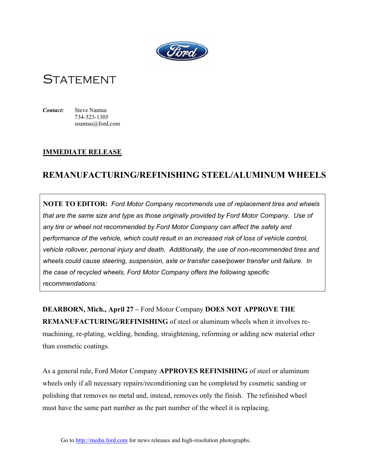

## **STATEMENT**

*Contact:* Steve Nantau 734-523-1305 snantau@ford.com

## **IMMEDIATE RELEASE**

## **REMANUFACTURING/REFINISHING STEEL/ALUMINUM WHEELS**

**NOTE TO EDITOR:** *Ford Motor Company recommends use of replacement tires and wheels that are the same size and type as those originally provided by Ford Motor Company. Use of any tire or wheel not recommended by Ford Motor Company can affect the safety and performance of the vehicle, which could result in an increased risk of loss of vehicle control, vehicle rollover, personal injury and death. Additionally, the use of non-recommended tires and wheels could cause steering, suspension, axle or transfer case/power transfer unit failure. In the case of recycled wheels, Ford Motor Company offers the following specific recommendations:*

**DEARBORN, Mich., April 27 –** Ford Motor Company **DOES NOT APPROVE THE REMANUFACTURING/REFINISHING** of steel or aluminum wheels when it involves remachining, re-plating, welding, bending, straightening, reforming or adding new material other than cosmetic coatings.

As a general rule, Ford Motor Company **APPROVES REFINISHING** of steel or aluminum wheels only if all necessary repairs/reconditioning can be completed by cosmetic sanding or polishing that removes no metal and, instead, removes only the finish. The refinished wheel must have the same part number as the part number of the wheel it is replacing.

Go to http://media.ford.com for news releases and high-resolution photographs.